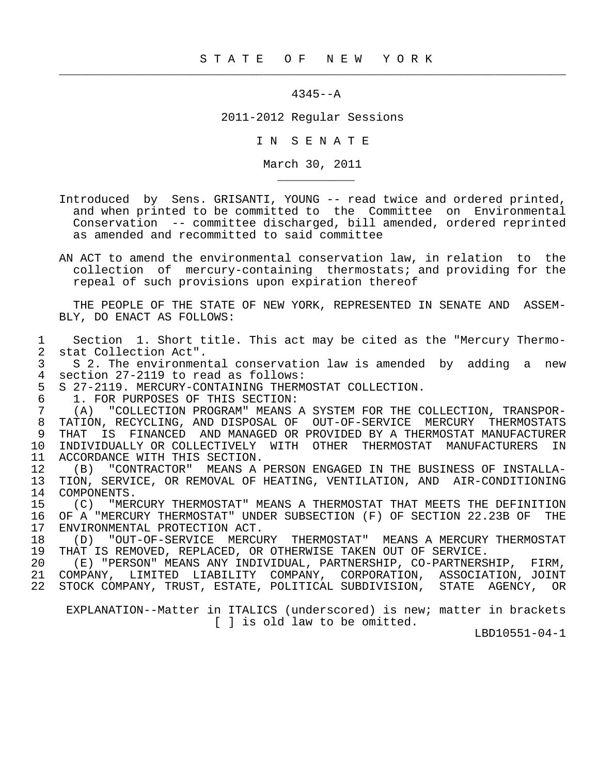$\frac{1}{2}$  , and the contribution of the contribution of the contribution of the contribution of the contribution of the contribution of the contribution of the contribution of the contribution of the contribution of the c

## 4345--A

2011-2012 Regular Sessions

I N S E N A T E

March 30, 2011

 Introduced by Sens. GRISANTI, YOUNG -- read twice and ordered printed, and when printed to be committed to the Committee on Environmental Conservation -- committee discharged, bill amended, ordered reprinted as amended and recommitted to said committee

 AN ACT to amend the environmental conservation law, in relation to the collection of mercury-containing thermostats; and providing for the repeal of such provisions upon expiration thereof

 THE PEOPLE OF THE STATE OF NEW YORK, REPRESENTED IN SENATE AND ASSEM- BLY, DO ENACT AS FOLLOWS:

 1 Section 1. Short title. This act may be cited as the "Mercury Thermo- 2 stat Collection Act".<br>3 S 2. The environmen

3 S 2. The environmental conservation law is amended by adding a new<br>4 section 27-2119 to read as follows: 4 section 27-2119 to read as follows:<br>5 S 27-2119. MERCURY-CONTAINING THERM

5 S 27-2119. MERCURY-CONTAINING THERMOSTAT COLLECTION.<br>6 1. FOR PURPOSES OF THIS SECTION:

6 1. FOR PURPOSES OF THIS SECTION:<br>7 (A) "COLLECTION PROGRAM" MEANS

\_\_\_\_\_\_\_\_\_\_\_

 7 (A) "COLLECTION PROGRAM" MEANS A SYSTEM FOR THE COLLECTION, TRANSPOR- 8 TATION, RECYCLING, AND DISPOSAL OF OUT-OF-SERVICE MERCURY THERMOSTATS<br>9 THAT IS FINANCED AND MANAGED OR PROVIDED BY A THERMOSTAT MANUFACTURER 9 THAT IS FINANCED AND MANAGED OR PROVIDED BY A THERMOSTAT MANUFACTURER<br>10 INDIVIDUALLY OR COLLECTIVELY WITH OTHER THERMOSTAT MANUFACTURERS IN 10 INDIVIDUALLY OR COLLECTIVELY WITH OTHER THERMOSTAT MANUFACTURERS IN<br>11 ACCORDANCE WITH THIS SECTION. 11 ACCORDANCE WITH THIS SECTION.<br>12 (B) "CONTRACTOR" MEANS A

12 (B) "CONTRACTOR" MEANS A PERSON ENGAGED IN THE BUSINESS OF INSTALLA-<br>13 TION, SERVICE, OR REMOVAL OF HEATING, VENTILATION, AND AIR-CONDITIONING TION, SERVICE, OR REMOVAL OF HEATING, VENTILATION, AND AIR-CONDITIONING 14 COMPONENTS.<br>15 (C) "MER

15 (C) "MERCURY THERMOSTAT" MEANS A THERMOSTAT THAT MEETS THE DEFINITION<br>16 OF A "MERCURY THERMOSTAT" UNDER SUBSECTION (F) OF SECTION 22.23B OF THE 16 OF A "MERCURY THERMOSTAT" UNDER SUBSECTION (F) OF SECTION 22.23B OF THE 17 ENVIRONMENTAL PROTECTION ACT. 17 ENVIRONMENTAL PROTECTION ACT.<br>18 (D) "OUT-OF-SERVICE MERCU

18 (D) "OUT-OF-SERVICE MERCURY THERMOSTAT" MEANS A MERCURY THERMOSTAT<br>19 THAT IS REMOVED, REPLACED, OR OTHERWISE TAKEN OUT OF SERVICE. 19 THAT IS REMOVED, REPLACED, OR OTHERWISE TAKEN OUT OF SERVICE.<br>20 (E) "PERSON" MEANS ANY INDIVIDUAL, PARTNERSHIP, CO-PARTNERS

 20 (E) "PERSON" MEANS ANY INDIVIDUAL, PARTNERSHIP, CO-PARTNERSHIP, FIRM, 21 COMPANY, LIMITED LIABILITY COMPANY, CORPORATION, ASSOCIATION, JOINT 22 STOCK COMPANY, TRUST, ESTATE, POLITICAL SUBDIVISION, STATE AGENCY, OR

 EXPLANATION--Matter in ITALICS (underscored) is new; matter in brackets [ ] is old law to be omitted.

LBD10551-04-1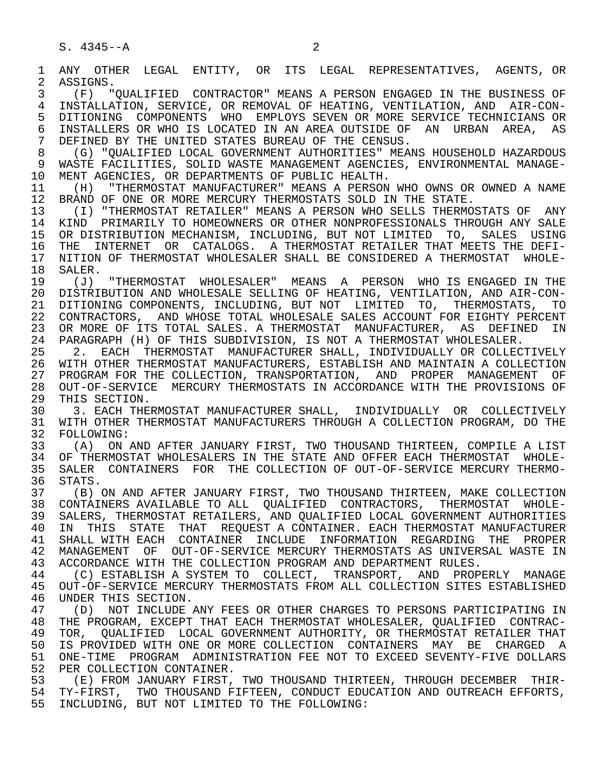2 ASSIGNS.<br>3 (F) "

1 ANY OTHER LEGAL ENTITY, OR ITS LEGAL REPRESENTATIVES, AGENTS, OR<br>2 ASSIGNS. 3 (F) "QUALIFIED CONTRACTOR" MEANS A PERSON ENGAGED IN THE BUSINESS OF 4 INSTALLATION, SERVICE, OR REMOVAL OF HEATING, VENTILATION, AND AIR-CON- 5 DITIONING COMPONENTS WHO EMPLOYS SEVEN OR MORE SERVICE TECHNICIANS OR<br>6 INSTALLERS OR WHO IS LOCATED IN AN AREA OUTSIDE OF AN URBAN AREA, AS 6 INSTALLERS OR WHO IS LOCATED IN AN AREA OUTSIDE OF AN URBAN AREA, AS<br>7 DEFINED BY THE UNITED STATES BUREAU OF THE CENSUS. 7 DEFINED BY THE UNITED STATES BUREAU OF THE CENSUS.<br>8 (G) "OUALIFIED LOCAL GOVERNMENT AUTHORITIES" MEAL 8 (G) "QUALIFIED LOCAL GOVERNMENT AUTHORITIES" MEANS HOUSEHOLD HAZARDOUS 9 WASTE FACILITIES, SOLID WASTE MANAGEMENT AGENCIES, ENVIRONMENTAL MANAGE-

10 MENT AGENCIES, OR DEPARTMENTS OF PUBLIC HEALTH.<br>11 (H) "THERMOSTAT MANUFACTURER" MEANS A PERSON 11 (H) "THERMOSTAT MANUFACTURER" MEANS A PERSON WHO OWNS OR OWNED A NAME<br>12 BRAND OF ONE OR MORE MERCURY THERMOSTATS SOLD IN THE STATE. 12 BRAND OF ONE OR MORE MERCURY THERMOSTATS SOLD IN THE STATE.<br>13 (I) "THERMOSTAT RETAILER" MEANS A PERSON WHO SELLS THERMO

 13 (I) "THERMOSTAT RETAILER" MEANS A PERSON WHO SELLS THERMOSTATS OF ANY 14 KIND PRIMARILY TO HOMEOWNERS OR OTHER NONPROFESSIONALS THROUGH ANY SALE 15 OR DISTRIBUTION MECHANISM, INCLUDING, BUT NOT LIMITED TO, SALES USING 16 THE INTERNET OR CATALOGS. A THERMOSTAT RETAILER THAT MEETS THE DEFI- 17 NITION OF THERMOSTAT WHOLESALER SHALL BE CONSIDERED A THERMOSTAT WHOLE-<br>18 SALER. 18 SALER.<br>19 (J)

 19 (J) "THERMOSTAT WHOLESALER" MEANS A PERSON WHO IS ENGAGED IN THE 20 DISTRIBUTION AND WHOLESALE SELLING OF HEATING, VENTILATION, AND AIR-CON- 21 DITIONING COMPONENTS, INCLUDING, BUT NOT LIMITED TO, THERMOSTATS, TO 22 CONTRACTORS, AND WHOSE TOTAL WHOLESALE SALES ACCOUNT FOR EIGHTY PERCENT 23 OR MORE OF ITS TOTAL SALES. A THERMOSTAT MANUFACTURER, AS DEFINED IN 24 PARAGRAPH (H) OF THIS SUBDIVISION, IS NOT A THERMOSTAT WHOLESALER.<br>25 2. EACH THERMOSTAT MANUFACTURER SHALL, INDIVIDUALLY OR COLLECT

2. EACH THERMOSTAT MANUFACTURER SHALL, INDIVIDUALLY OR COLLECTIVELY 26 WITH OTHER THERMOSTAT MANUFACTURERS, ESTABLISH AND MAINTAIN A COLLECTION<br>27 PROGRAM FOR THE COLLECTION, TRANSPORTATION, AND PROPER MANAGEMENT OF 27 PROGRAM FOR THE COLLECTION, TRANSPORTATION, AND PROPER MANAGEMENT OF<br>28 OUT-OF-SERVICE MERCURY THERMOSTATS IN ACCORDANCE WITH THE PROVISIONS OF 28 OUT-OF-SERVICE MERCURY THERMOSTATS IN ACCORDANCE WITH THE PROVISIONS OF<br>29 THIS SECTION. 29 THIS SECTION.<br>30 3. EACH THEI

30 3. EACH THERMOSTAT MANUFACTURER SHALL, INDIVIDUALLY OR COLLECTIVELY<br>31 WITH OTHER THERMOSTAT MANUFACTURERS THROUGH A COLLECTION PROGRAM, DO THE 31 WITH OTHER THERMOSTAT MANUFACTURERS THROUGH A COLLECTION PROGRAM, DO THE 32 FOLLOWING: 32 FOLLOWING:<br>33 (A) ON

 33 (A) ON AND AFTER JANUARY FIRST, TWO THOUSAND THIRTEEN, COMPILE A LIST 34 OF THERMOSTAT WHOLESALERS IN THE STATE AND OFFER EACH THERMOSTAT WHOLE-<br>35 SALER CONTAINERS FOR THE COLLECTION OF OUT-OF-SERVICE MERCURY THERMO-35 SALER CONTAINERS FOR THE COLLECTION OF OUT-OF-SERVICE MERCURY THERMO-<br>36 STATS. STATS.

 37 (B) ON AND AFTER JANUARY FIRST, TWO THOUSAND THIRTEEN, MAKE COLLECTION 38 CONTAINERS AVAILABLE TO ALL QUALIFIED CONTRACTORS, THERMOSTAT WHOLE-<br>39 SALERS, THERMOSTAT RETAILERS, AND OUALIFIED LOCAL GOVERNMENT AUTHORITIES 39 SALERS, THERMOSTAT RETAILERS, AND QUALIFIED LOCAL GOVERNMENT AUTHORITIES<br>40 IN THIS STATE THAT REOUEST A CONTAINER. EACH THERMOSTAT MANUFACTURER 40 IN THIS STATE THAT REQUEST<sup>A</sup> CONTAINER. EACH THERMOSTAT MANUFACTURER<br>41 SHALL WITH EACH CONTAINER INCLUDE INFORMATION REGARDING THE PROPER SHALL WITH EACH CONTAINER INCLUDE INFORMATION REGARDING THE PROPER 42 MANAGEMENT OF OUT-OF-SERVICE MERCURY THERMOSTATS AS UNIVERSAL WASTE IN<br>43 ACCORDANCE WITH THE COLLECTION PROGRAM AND DEPARTMENT RULES. 43 ACCORDANCE WITH THE COLLECTION PROGRAM AND DEPARTMENT RULES.<br>44 (C) ESTABLISH A SYSTEM TO COLLECT, TRANSPORT, AND PROP

44 (C) ESTABLISH A SYSTEM TO COLLECT, TRANSPORT, AND PROPERLY MANAGE<br>45 OUT-OF-SERVICE MERCURY THERMOSTATS FROM ALL COLLECTION SITES ESTABLISHED 45 OUT-OF-SERVICE MERCURY THERMOSTATS FROM ALL COLLECTION SITES ESTABLISHED 46 UNDER THIS SECTION.<br>47 (D) NOT INCLUDE

47 (D) NOT INCLUDE ANY FEES OR OTHER CHARGES TO PERSONS PARTICIPATING IN<br>48 THE PROGRAM, EXCEPT THAT EACH THERMOSTAT WHOLESALER, OUALIFIED CONTRAC-48 THE PROGRAM, EXCEPT THAT EACH THERMOSTAT WHOLESALER, QUALIFIED CONTRAC-<br>49 TOR, OUALIFIED LOCAL GOVERNMENT AUTHORITY, OR THERMOSTAT RETAILER THAT 49 TOR, QUALIFIED LOCAL GOVERNMENT AUTHORITY, OR THERMOSTAT RETAILER THAT<br>50 IS PROVIDED WITH ONE OR MORE COLLECTION CONTAINERS MAY BE CHARGED A IS PROVIDED WITH ONE OR MORE COLLECTION CONTAINERS MAY BE CHARGED A 51 ONE-TIME PROGRAM ADMINISTRATION FEE NOT TO EXCEED SEVENTY-FIVE DOLLARS 52 PER COLLECTION CONTAINER.<br>53 (E) FROM JANUARY FIRST.

 53 (E) FROM JANUARY FIRST, TWO THOUSAND THIRTEEN, THROUGH DECEMBER THIR- 54 TY-FIRST, TWO THOUSAND FIFTEEN, CONDUCT EDUCATION AND OUTREACH EFFORTS, 55 INCLUDING, BUT NOT LIMITED TO THE FOLLOWING: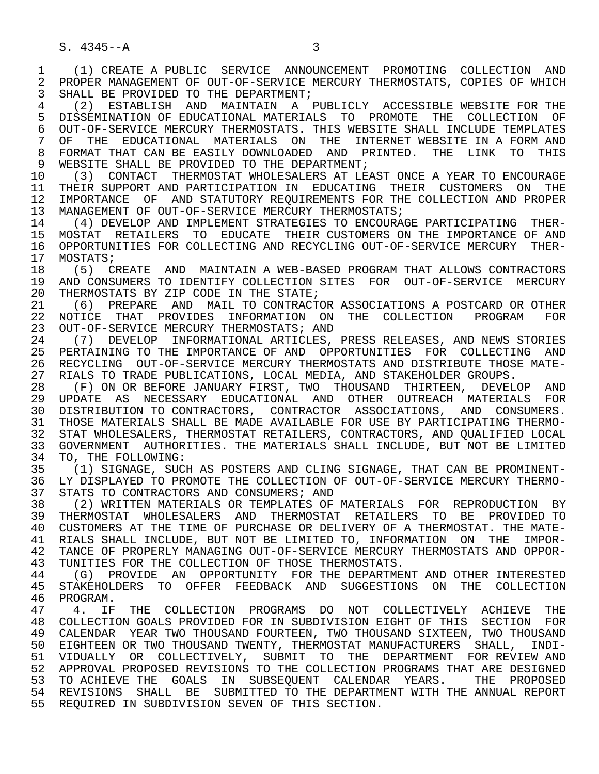1 (1) CREATE A PUBLIC SERVICE ANNOUNCEMENT PROMOTING COLLECTION AND<br>2 PROPER MANAGEMENT OF OUT-OF-SERVICE MERCURY THERMOSTATS, COPIES OF WHICH 2 PROPER MANAGEMENT OF OUT-OF-SERVICE MERCURY THERMOSTATS, COPIES OF WHICH<br>3 SHALL BE PROVIDED TO THE DEPARTMENT: SHALL BE PROVIDED TO THE DEPARTMENT;

 4 (2) ESTABLISH AND MAINTAIN A PUBLICLY ACCESSIBLE WEBSITE FOR THE 5 DISSEMINATION OF EDUCATIONAL MATERIALS TO PROMOTE THE COLLECTION OF<br>6 OUT-OF-SERVICE MERCURY THERMOSTATS. THIS WEBSITE SHALL INCLUDE TEMPLATES 6 OUT-OF-SERVICE MERCURY THERMOSTATS. THIS WEBSITE SHALL INCLUDE TEMPLATES<br>7 OF THE EDUCATIONAL MATERIALS ON THE INTERNET WEBSITE IN A FORM AND OF THE EDUCATIONAL MATERIALS ON THE INTERNET\_WEBSITE IN A FORM AND 8 FORMAT THAT CAN BE EASILY DOWNLOADED AND PRINTED. THE LINK TO THIS<br>9 WEBSITE SHALL BE PROVIDED TO THE DEPARTMENT; 9 WEBSITE SHALL BE PROVIDED TO THE DEPARTMENT;<br>10 (3) CONTACT THERMOSTAT WHOLESALERS AT LE.

10 (3) CONTACT THERMOSTAT WHOLESALERS AT LEAST ONCE A YEAR TO ENCOURAGE<br>11 THEIR SUPPORT AND PARTICIPATION IN EDUCATING THEIR CUSTOMERS ON THE 11 THEIR SUPPORT AND PARTICIPATION IN EDUCATING THEIR CUSTOMERS ON THE 12 IMPORTANCE OF AND STATUTORY REOUIREMENTS FOR THE COLLECTION AND PROPER 12 IMPORTANCE OF AND STATUTORY REQUIREMENTS FOR THE COLLECTION AND PROPER<br>13 MANAGEMENT OF OUT-OF-SERVICE MERCURY THERMOSTATS; 13 MANAGEMENT OF OUT-OF-SERVICE MERCURY THERMOSTATS;<br>14 (4) DEVELOP AND IMPLEMENT STRATEGIES TO ENCOURA

14 (4) DEVELOP AND IMPLEMENT STRATEGIES TO ENCOURAGE PARTICIPATING THER-<br>15 MOSTAT RETAILERS TO EDUCATE THEIR CUSTOMERS ON THE IMPORTANCE OF AND 15 MOSTAT RETAILERS TO EDUCATE THEIR CUSTOMERS ON THE IMPORTANCE OF AND<br>16 OPPORTUNITIES FOR COLLECTING AND RECYCLING OUT-OF-SERVICE MERCURY THER-16 OPPORTUNITIES FOR COLLECTING AND RECYCLING OUT-OF-SERVICE MERCURY THER-<br>17 MOSTATS; 17 MOSTATS;<br>18 (5) C

18 (5) CREATE AND MAINTAIN A WEB-BASED PROGRAM THAT ALLOWS CONTRACTORS<br>19 AND CONSUMERS TO IDENTIFY COLLECTION SITES FOR OUT-OF-SERVICE MERCURY 19 AND CONSUMERS TO IDENTIFY COLLECTION SITES FOR OUT-OF-SERVICE MERCURY<br>20 THERMOSTATS BY ZIP CODE IN THE STATE; 20 THERMOSTATS BY ZIP CODE IN THE STATE;<br>21 (6) PREPARE AND MAIL TO CONTRACT(

21 (6) PREPARE AND MAIL TO CONTRACTOR ASSOCIATIONS A POSTCARD OR OTHER<br>22 NOTICE THAT PROVIDES INFORMATION ON THE COLLECTION PROGRAM FOR 22 NOTICE THAT PROVIDES INFORMATION ON THE COLLECTION PROGRAM FOR<br>23 OUT-OF-SERVICE—MERCURY—THERMOSTATS; AND 23 OUT-OF-SERVICE MERCURY THERMOSTATS; AND<br>24 (7) DEVELOP INFORMATIONAL ARTICLES.

24 (7) DEVELOP INFORMATIONAL ARTICLES, PRESS RELEASES, AND NEWS STORIES<br>25 PERTAINING TO THE IMPORTANCE OF AND OPPORTUNITIES FOR COLLECTING AND 25 PERTAINING TO THE IMPORTANCE OF AND OPPORTUNITIES FOR COLLECTING AND 26 RECYCLING OUT-OF-SERVICE MERCURY THERMOSTATS AND DISTRIBUTE THOSE MATE-<br>27 RIALS TO TRADE PUBLICATIONS, LOCAL MEDIA, AND STAKEHOLDER GROUPS. 27 RIALS TO TRADE PUBLICATIONS, LOCAL MEDIA, AND STAKEHOLDER GROUPS.<br>28 (F) ON OR BEFORE JANUARY FIRST, TWO THOUSAND THIRTEEN, DEVELO

28 (F) ON OR BEFORE JANUARY FIRST, TWO THOUSAND THIRTEEN, DEVELOP AND<br>29 UPDATE AS NECESSARY EDUCATIONAL AND OTHER OUTREACH MATERIALS FOR 29 UPDATE AS NECESSARY EDUCATIONAL AND OTHER OUTREACH MATERIALS FOR 30 DISTRIBUTION TO CONTRACTORS, CONTRACTOR ASSOCIATIONS, AND CONSUMERS.<br>31 THOSE MATERIALS SHALL BE MADE AVAILABLE FOR USE BY PARTICIPATING THERMO-31 THOSE MATERIALS SHALL BE MADE AVAILABLE FOR USE BY PARTICIPATING THERMO-<br>32 STAT WHOLESALERS, THERMOSTAT RETAILERS, CONTRACTORS, AND OUALIFIED LOCAL 32 STAT WHOLESALERS, THERMOSTAT RETAILERS, CONTRACTORS, AND QUALIFIED LOCAL<br>33 GOVERNMENT AUTHORITIES, THE MATERIALS SHALL INCLUDE, BUT NOT BE LIMITED 33 GOVERNMENT AUTHORITIES. THE MATERIALS SHALL INCLUDE, BUT NOT BE LIMITED 34 TO, THE FOLLOWING: 34 TO, THE FOLLOWING:<br>35 (1) SIGNAGE, SUC

35 (1) SIGNAGE, SUCH AS POSTERS AND CLING SIGNAGE, THAT CAN BE PROMINENT-<br>36 LY DISPLAYED TO PROMOTE THE COLLECTION OF OUT-OF-SERVICE MERCURY THERMO-LY DISPLAYED TO PROMOTE THE COLLECTION OF OUT-OF-SERVICE MERCURY THERMO-37 STATS TO CONTRACTORS AND CONSUMERS; AND<br>38 (2) WRITTEN MATERIALS OR TEMPLATES OF

 38 (2) WRITTEN MATERIALS OR TEMPLATES OF MATERIALS FOR REPRODUCTION BY 39 THERMOSTAT WHOLESALERS AND THERMOSTAT RETAILERS TO BE PROVIDED TO<br>40 CUSTOMERS AT THE TIME OF PURCHASE OR DELIVERY OF A THERMOSTAT. THE MATE-40 CUSTOMERS AT THE TIME OF PURCHASE OR DELIVERY OF A THERMOSTAT. THE MATE-<br>41 RIALS SHALL INCLUDE, BUT NOT BE LIMITED TO, INFORMATION ON THE IMPOR-41 RIALS SHALL INCLUDE, BUT NOT BE LIMITED TO, INFORMATION ON THE IMPOR-<br>42 TANCE OF PROPERLY MANAGING OUT-OF-SERVICE MERCURY THERMOSTATS AND OPPOR-42 TANCE OF PROPERLY MANAGING OUT-OF-SERVICE MERCURY THERMOSTATS AND OPPOR-<br>43 TUNITIES FOR THE COLLECTION OF THOSE THERMOSTATS. 43 TUNITIES FOR THE COLLECTION OF THOSE THERMOSTATS.<br>44 (G) PROVIDE AN OPPORTUNITY FOR THE DEPARTMEI

44 (G) PROVIDE AN OPPORTUNITY FOR THE DEPARTMENT AND OTHER INTERESTED<br>45 STAKEHOLDERS TO OFFER FEEDBACK AND SUGGESTIONS ON THE COLLECTION 45 STAKEHOLDERS TO OFFER FEEDBACK AND SUGGESTIONS ON THE COLLECTION<br>46 PROGRAM. 46 PROGRAM.<br>47 4 TF

 47 4. IF THE COLLECTION PROGRAMS DO NOT COLLECTIVELY ACHIEVE THE 48 COLLECTION GOALS PROVIDED FOR IN SUBDIVISION EIGHT OF THIS SECTION FOR 49 CALENDAR YEAR TWO THOUSAND FOURTEEN, TWO THOUSAND SIXTEEN, TWO THOUSAND<br>50 EIGHTEEN OR TWO THOUSAND TWENTY, THERMOSTAT MANUFACTURERS SHALL, INDI-EIGHTEEN OR TWO THOUSAND TWENTY, THERMOSTAT MANUFACTURERS SHALL, INDI- 51 VIDUALLY OR COLLECTIVELY, SUBMIT TO THE DEPARTMENT FOR REVIEW AND 52 APPROVAL PROPOSED REVISIONS TO THE COLLECTION PROGRAMS THAT ARE DESIGNED 53 TO ACHIEVE THE GOALS IN SUBSEQUENT CALENDAR YEARS. THE PROPOSED 54 REVISIONS SHALL BE SUBMITTED TO THE DEPARTMENT WITH THE ANNUAL REPORT 55 REQUIRED IN SUBDIVISION SEVEN OF THIS SECTION.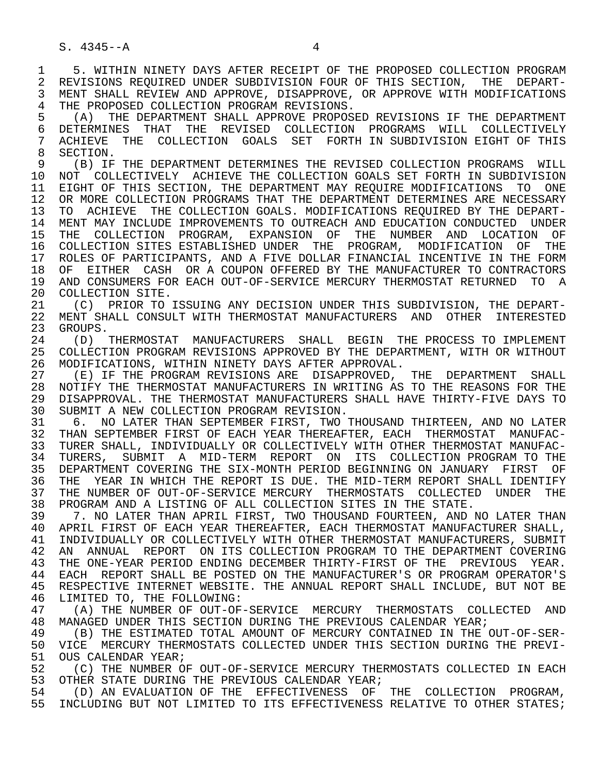1 5. WITHIN NINETY DAYS AFTER RECEIPT OF THE PROPOSED COLLECTION PROGRAM<br>2 REVISIONS REOUIRED UNDER SUBDIVISION FOUR OF THIS SECTION. THE DEPART-2 REVISIONS REQUIRED UNDER SUBDIVISION FOUR OF THIS SECTION, THE DEPART-<br>3 MENT SHALL REVIEW AND APPROVE, DISAPPROVE, OR APPROVE WITH MODIFICATIONS MENT SHALL REVIEW AND APPROVE, DISAPPROVE, OR APPROVE WITH MODIFICATIONS 4 THE PROPOSED COLLECTION PROGRAM REVISIONS.<br>5 (A) THE DEPARTMENT SHALL APPROVE PROPOSI

 5 (A) THE DEPARTMENT SHALL APPROVE PROPOSED REVISIONS IF THE DEPARTMENT 6 DETERMINES THAT THE REVISED COLLECTION PROGRAMS WILL COLLECTIVELY<br>7 ACHIEVE THE COLLECTION GOALS SET FORTH IN-SUBDIVISION-EIGHT-OF-THIS 7 ACHIEVE THE COLLECTION GOALS SET FORTH IN SUBDIVISION EIGHT OF THIS<br>8 SECTION 8 SECTION.<br>9 (B) IF

 9 (B) IF THE DEPARTMENT DETERMINES THE REVISED COLLECTION PROGRAMS WILL 10 NOT COLLECTIVELY ACHIEVE THE COLLECTION GOALS SET FORTH IN SUBDIVISION<br>11 EIGHT OF THIS SECTION, THE DEPARTMENT MAY REOUIRE MODIFICATIONS TO ONE 11 EIGHT OF THIS SECTION, THE DEPARTMENT MAY REQUIRE MODIFICATIONS TO ONE<br>12 OR MORE COLLECTION PROGRAMS THAT THE DEPARTMENT DETERMINES ARE NECESSARY 12 OR MORE COLLECTION PROGRAMS THAT THE DEPARTMENT DETERMINES ARE NECESSARY<br>13 TO ACHIEVE THE COLLECTION GOALS. MODIFICATIONS REOUIRED BY THE DEPART-13 TO ACHIEVE THE COLLECTION GOALS. MODIFICATIONS REQUIRED BY THE DEPART-<br>14 MENT MAY INCLUDE IMPROVEMENTS TO OUTREACH AND EDUCATION CONDUCTED UNDER 14 MENT MAY INCLUDE IMPROVEMENTS TO OUTREACH AND EDUCATION CONDUCTED UNDER 15 THE COLLECTION PROGRAM, EXPANSION OF THE NUMBER AND LOCATION OF<br>16 COLLECTION SITES ESTABLISHED UNDER THE PROGRAM, MODIFICATION OF THE 16 COLLECTION SITES ESTABLISHED UNDER THE PROGRAM, MODIFICATION OF THE TORM THE PORM 17 ROLES OF PARTICIPANTS, AND A FIVE DOLLAR FINANCIAL INCENTIVE IN THE FORM<br>18 OF EITHER CASH OR A COUPON OFFERED BY THE MANUFACTURER TO CONTRACTORS 18 OF EITHER CASH OR A COUPON OFFERED BY THE MANUFACTURER TO CONTRACTORS<br>19 AND CONSUMERS FOR EACH OUT-OF-SERVICE MERCURY THERMOSTAT RETURNED TO A 19 AND CONSUMERS FOR EACH OUT-OF-SERVICE MERCURY THERMOSTAT RETURNED TO A 20 COLLECTION SITE. 20 COLLECTION SITE.<br>21 (C) PRIOR TO

21 (C) PRIOR TO ISSUING ANY DECISION UNDER THIS SUBDIVISION, THE DEPART-<br>22 MENT SHALL CONSULT WITH THERMOSTAT MANUFACTURERS AND OTHER INTERESTED 22 MENT SHALL CONSULT WITH THERMOSTAT MANUFACTURERS AND OTHER INTERESTED 23 GROUPS.<br>24 (D) 5

24 (D) THERMOSTAT MANUFACTURERS SHALL BEGIN THE PROCESS TO IMPLEMENT<br>25 COLLECTION PROGRAM REVISIONS APPROVED BY THE DEPARTMENT, WITH OR WITHOUT 25 COLLECTION PROGRAM REVISIONS APPROVED BY THE DEPARTMENT, WITH OR WITHOUT 26 MODIFICATIONS, WITHIN NINETY DAYS AFTER APPROVAL.<br>27 (E) IF THE PROGRAM REVISIONS ARE DISAPPROVED.

27 (E) IF THE PROGRAM REVISIONS ARE DISAPPROVED, THE DEPARTMENT SHALL<br>28 NOTIFY THE THERMOSTAT MANUFACTURERS IN WRITING AS TO THE REASONS FOR THE 28 NOTIFY THE THERMOSTAT MANUFACTURERS IN WRITING AS TO THE REASONS FOR THE 29 DISAPPROVAL. THE THERMOSTAT MANUFACTURERS SHALL HAVE THIRTY-FIVE DAYS TO 29 DISAPPROVAL. THE THERMOSTAT MANUFACTURERS SHALL HAVE THIRTY-FIVE DAYS TO<br>30 SUBMIT A NEW COLLECTION PROGRAM REVISION. 30 SUBMIT A NEW COLLECTION PROGRAM REVISION.<br>31 6. NO LATER THAN SEPTEMBER FIRST. TWO T

31 6. NO LATER THAN SEPTEMBER FIRST, TWO THOUSAND THIRTEEN, AND NO LATER<br>32 THAN SEPTEMBER FIRST OF EACH YEAR THEREAFTER, EACH THERMOSTAT MANUFAC-32 THAN SEPTEMBER FIRST OF EACH YEAR THEREAFTER, EACH THERMOSTAT MANUFAC-<br>33 TURER SHALL, INDIVIDUALLY OR COLLECTIVELY WITH OTHER THERMOSTAT MANUFAC-33 TURER SHALL, INDIVIDUALLY OR COLLECTIVELY WITH OTHER THERMOSTAT MANUFAC-<br>34 TURERS, SUBMIT A MID-TERM REPORT ON ITS COLLECTION PROGRAM TO THE 34 TURERS, SUBMIT A MID-TERM REPORT ON ITS COLLECTION PROGRAM TO THE 35 DEPARTMENT COVERING THE SIX-MONTH PERIOD BEGINNING ON JANUARY FIRST OF 35 DEPARTMENT COVERING THE SIX-MONTH PERIOD BEGINNING ON JANUARY FIRST OF<br>36 THE YEAR IN WHICH THE REPORT IS DUE. THE MID-TERM REPORT SHALL IDENTIFY THE YEAR IN WHICH THE REPORT IS DUE. THE MID-TERM REPORT SHALL IDENTIFY 37 THE NUMBER OF OUT-OF-SERVICE MERCURY THERMOSTATS COLLECTED UNDER THE 38 PROGRAM AND A LISTING OF ALL COLLECTION SITES IN THE STATE. 38 PROGRAM AND A LISTING OF ALL COLLECTION SITES IN THE STATE.<br>39 T. NO LATER THAN APRIL FIRST, TWO THOUSAND FOURTEEN, AND

39 7. NO LATER THAN APRIL FIRST, TWO THOUSAND FOURTEEN, AND NO LATER THAN<br>40 APRIL FIRST OF EACH YEAR THEREAFTER, EACH THERMOSTAT MANUFACTURER SHALL, 40 APRIL FIRST OF EACH YEAR THEREAFTER, EACH THERMOSTAT MANUFACTURER SHALL,<br>41 INDIVIDUALLY OR COLLECTIVELY WITH OTHER THERMOSTAT MANUFACTURERS, SUBMIT 41 INDIVIDUALLY OR COLLECTIVELY WITH OTHER THERMOSTAT MANUFACTURERS, SUBMIT<br>42 AN ANNUAL REPORT ON ITS COLLECTION PROGRAM TO THE DEPARTMENT COVERING 42 AN ANNUAL REPORT ON ITS COLLECTION PROGRAM TO THE DEPARTMENT COVERING<br>43 THE ONE-YEAR PERIOD ENDING DECEMBER THIRTY-FIRST OF THE PREVIOUS YEAR. 43 THE ONE-YEAR PERIOD ENDING DECEMBER THIRTY-FIRST OF THE PREVIOUS YEAR.<br>44 EACH REPORT SHALL BE POSTED ON THE MANUFACTURER'S OR PROGRAM OPERATOR'S 44 EACH REPORT SHALL BE POSTED ON THE MANUFACTURER'S OR PROGRAM OPERATOR'S<br>45 RESPECTIVE INTERNET WEBSITE. THE ANNUAL REPORT SHALL INCLUDE, BUT NOT BE RESPECTIVE INTERNET WEBSITE. THE ANNUAL REPORT SHALL INCLUDE, BUT NOT BE 46 LIMITED TO, THE FOLLOWING:<br>47 (A) THE NUMBER OF OUT-OF

47 (A) THE NUMBER OF OUT-OF-SERVICE MERCURY THERMOSTATS COLLECTED AND 48 MANAGED UNDER THIS SECTION DURING THE PREVIOUS CALENDAR YEAR; 48 MANAGED UNDER THIS SECTION DURING THE PREVIOUS CALENDAR YEAR;<br>49 (B) THE ESTIMATED TOTAL AMOUNT OF MERCURY CONTAINED IN THE

 49 (B) THE ESTIMATED TOTAL AMOUNT OF MERCURY CONTAINED IN THE OUT-OF-SER- 50 VICE MERCURY THERMOSTATS COLLECTED UNDER THIS SECTION DURING THE PREVI-<br>51 OUS CALENDAR YEAR; 51 OUS CALENDAR YEAR;<br>52 (C) THE NUMBER O

52 (C) THE NUMBER OF OUT-OF-SERVICE MERCURY THERMOSTATS COLLECTED IN EACH 53 OTHER STATE DURING THE PREVIOUS CALENDAR YEAR; 53 OTHER STATE DURING THE PREVIOUS CALENDAR YEAR;

54 (D) AN EVALUATION OF THE EFFECTIVENESS OF THE COLLECTION PROGRAM,<br>55 INCLUDING BUT NOT LIMITED TO ITS EFFECTIVENESS RELATIVE TO OTHER STATES; INCLUDING BUT NOT LIMITED TO ITS EFFECTIVENESS RELATIVE TO OTHER STATES;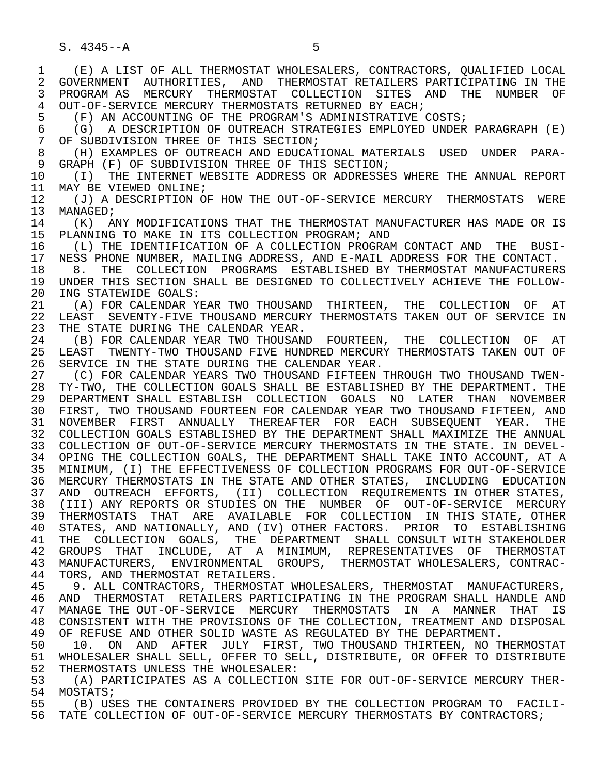1 (E) A LIST OF ALL THERMOSTAT WHOLESALERS, CONTRACTORS, QUALIFIED LOCAL 2 GOVERNMENT AUTHORITIES, AND THERMOSTAT—RETAILERS—PARTICIPATING IN THE THE RETAILLERS PARTICIPATING IN THE STREET OF 3 PROGRAM AS MERCURY THERMOSTAT COLLECTION SITES AND THE NUMBER OF 4 OUT-OF-SERVICE MERCURY THERMOSTATS RETURNED BY EACH;<br>5 (F) AN ACCOUNTING OF THE PROGRAM'S ADMINISTRATIVE 5 (F) AN ACCOUNTING OF THE PROGRAM'S ADMINISTRATIVE COSTS;<br>6 (G) A DESCRIPTION OF OUTREACH STRATEGIES EMPLOYED UNDER 6 (G) A DESCRIPTION OF OUTREACH STRATEGIES EMPLOYED UNDER PARAGRAPH (E)<br>7 OF SUBDIVISION THREE OF THIS SECTION; OF SUBDIVISION THREE OF THIS SECTION; 8 (H) EXAMPLES OF OUTREACH AND EDUCATIONAL MATERIALS USED UNDER PARA-<br>9 GRAPH (F) OF SUBDIVISION THREE OF THIS SECTION; 9 GRAPH (F) OF SUBDIVISION THREE OF THIS SECTION;<br>10 (T) THE INTERNET WEBSITE ADDRESS OR ADDRESSES 10 (I) THE INTERNET WEBSITE ADDRESS OR ADDRESSES WHERE THE ANNUAL REPORT 11 MAY BE VIEWED ONLINE; 11 MAY BE VIEWED ONLINE;<br>12 (J) A DESCRIPTION O 12 (J) A DESCRIPTION OF HOW THE OUT-OF-SERVICE MERCURY THERMOSTATS WERE 13 MANAGED; 13 MANAGED;<br>14 (K) A 14 (K) ANY MODIFICATIONS THAT THE THERMOSTAT MANUFACTURER HAS MADE OR IS<br>15 PLANNING TO MAKE IN ITS COLLECTION PROGRAM; AND 15 PLANNING TO MAKE IN ITS COLLECTION PROGRAM; AND<br>16 (L) THE IDENTIFICATION OF A COLLECTION PROGRAM 16 (L) THE IDENTIFICATION OF A COLLECTION PROGRAM CONTACT AND THE BUSI-<br>17 NESS PHONE NUMBER, MAILING ADDRESS, AND E-MAIL ADDRESS FOR THE CONTACT. 17 NESS PHONE NUMBER, MAILING ADDRESS, AND E-MAIL ADDRESS FOR THE CONTACT.<br>18 8. THE COLLECTION PROGRAMS ESTABLISHED BY THERMOSTAT MANUFACTURER 18 8. THE COLLECTION PROGRAMS ESTABLISHED BY THERMOSTAT MANUFACTURERS<br>19 IINDER THIS SECTION SHALL BE DESIGNED TO COLLECTIVELY ACHIEVE THE FOLLOW-19 UNDER THIS SECTION SHALL BE DESIGNED TO COLLECTIVELY ACHIEVE THE FOLLOW-<br>20 ING STATEWIDE GOALS: 20 ING STATEWIDE GOALS:<br>21 (A) FOR CALENDAR Y 21 (A) FOR CALENDAR YEAR TWO THOUSAND THIRTEEN, THE COLLECTION OF AT<br>22 LEAST SEVENTY-FIVE THOUSAND MERCURY THERMOSTATS TAKEN OUT OF SERVICE IN 22 LEAST SEVENTY-FIVE THOUSAND MERCURY THERMOSTATS TAKEN OUT OF SERVICE IN<br>23 THE STATE DURING THE CALENDAR YEAR. THE STATE DURING THE CALENDAR YEAR. 24 (B) FOR CALENDAR YEAR TWO THOUSAND FOURTEEN, THE COLLECTION OF AT<br>25 LEAST TWENTY-TWO THOUSAND FIVE HUNDRED MERCURY THERMOSTATS TAKEN OUT OF LEAST TWENTY-TWO THOUSAND FIVE HUNDRED MERCURY THERMOSTATS TAKEN OUT OF 26 SERVICE IN THE STATE DURING THE CALENDAR YEAR.<br>27 (C) FOR CALENDAR YEARS TWO THOUSAND FIFTEEN T 27 (C) FOR CALENDAR YEARS TWO THOUSAND FIFTEEN THROUGH TWO THOUSAND TWEN-<br>28 TY-TWO, THE COLLECTION GOALS SHALL BE ESTABLISHED BY THE DEPARTMENT. THE 28 TY-TWO, THE COLLECTION GOALS SHALL BE ESTABLISHED BY THE DEPARTMENT. THE 29 DEPARTMENT SHALL ESTABLISH COLLECTION GOALS NO LATER THAN NOVEMBER 29 DEPARTMENT SHALL ESTABLISH COLLECTION GOALS NO LATER THAN NOVEMBER 30 FIRST, TWO THOUSAND FOURTEEN FOR CALENDAR YEAR TWO THOUSAND FIFTEEN, AND 31 NOVEMBER FIRST ANNUALLY THEREAFTER FOR EACH SUBSEQUENT YEAR. THE<br>32 COLLECTION-GOALS-ESTABLISHED-BY-THE-DEPARTMENT-SHALL-MAXIMIZE-THE-ANNUAL COLLECTION GOALS ESTABLISHED BY THE DEPARTMENT SHALL MAXIMIZE THE ANNUAL 33 COLLECTION OF OUT-OF-SERVICE MERCURY THERMOSTATS IN THE STATE. IN DEVEL- 34 OPING THE COLLECTION GOALS, THE DEPARTMENT SHALL TAKE INTO ACCOUNT, AT A 35 MINIMUM, (I) THE EFFECTIVENESS OF COLLECTION PROGRAMS FOR OUT-OF-SERVICE 36 MERCURY THERMOSTATS IN THE STATE AND OTHER STATES, INCLUDING EDUCATION 37 AND OUTREACH EFFORTS, (II) COLLECTION REQUIREMENTS IN OTHER STATES,<br>38 (III) ANY REPORTS OR STUDIES ON THE NUMBER OF OUT-OF-SERVICE MERCURY 38 (III) ANY REPORTS OR STUDIES ON THE NUMBER OF OUT-OF-SERVICE MERCURY<br>39 THERMOSTATS THAT ARE AVAILABLE FOR COLLECTION IN THIS STATE, OTHER 39 THERMOSTATS THAT ARE AVAILABLE FOR COLLECTION IN THIS STATE, OTHER<br>40 STATES, AND NATIONALLY, AND (IV) OTHER FACTORS. PRIOR TO ESTABLISHING 40 STATES, AND NATIONALLY, AND (IV) OTHER FACTORS. PRIOR TO ESTABLISHING<br>41 THE COLLECTION GOALS. THE DEPARTMENT SHALL CONSULT WITH STAKEHOLDER 41 THE COLLECTION GOALS, THE DEPARTMENT SHALL-CONSULT-WITH-STAKEHOLDER<br>42 GROUPS THAT INCLUDE, AT A MINIMUM, REPRESENTATIVES OF THERMOSTAT <sup>1</sup> GROUPS THAT INCLUDE, AT A MINIMUM, REPRESENTATIVES OF THERMOSTAT<br>43 MANUFACTURERS, ENVIRONMENTAL GROUPS, THERMOSTAT WHOLESALERS CONTRAC-43 MANUFACTURERS, ENVIRONMENTAL GROUPS, THERMOSTAT WHOLESALERS, CONTRAC-<br>44 TORS, AND THERMOSTAT RETAILERS. 44 TORS, AND THERMOSTAT RETAILERS.<br>45 9. ALL CONTRACTORS, THERMOSTAT 9. ALL CONTRACTORS, THERMOSTAT WHOLESALERS, THERMOSTAT MANUFACTURERS, 46 AND THERMOSTAT RETAILERS PARTICIPATING IN THE PROGRAM SHALL HANDLE AND<br>47 MANAGE THE OUT-OF-SERVICE MERCURY THERMOSTATS IN A MANNER THAT IS MANAGE THE OUT-OF-SERVICE MERCURY THERMOSTATS IN A MANNER THAT IS 48 CONSISTENT WITH THE PROVISIONS OF THE COLLECTION, TREATMENT AND DISPOSAL 49 OF REFUSE AND OTHER SOLID WASTE AS REGULATED BY THE DEPARTMENT. 49 OF REFUSE AND OTHER SOLID WASTE AS REGULATED BY THE DEPARTMENT.<br>50 10. ON AND AFTER JULY FIRST, TWO THOUSAND THIRTEEN, NO T 50 10. ON AND AFTER JULY FIRST, TWO THOUSAND THIRTEEN, NO THERMOSTAT<br>51 WHOLESALER SHALL SELL, OFFER TO SELL, DISTRIBUTE, OR OFFER TO DISTRIBUTE 51 WHOLESALER SHALL SELL, OFFER TO SELL, DISTRIBUTE, OR OFFER TO DISTRIBUTE<br>52 THERMOSTATS UNLESS THE WHOLESALER: 52 THERMOSTATS UNLESS THE WHOLESALER:<br>53 (A) PARTICIPATES AS A COLLECTION 53 (A) PARTICIPATES AS A COLLECTION SITE FOR OUT-OF-SERVICE MERCURY THER-<br>54 MOSTATS;

54 MOSTATS;<br>55 (B) US 55 (B) USES THE CONTAINERS PROVIDED BY THE COLLECTION PROGRAM TO FACILI-<br>56 TATE COLLECTION OF OUT-OF-SERVICE MERCURY THERMOSTATS BY CONTRACTORS; TATE COLLECTION OF OUT-OF-SERVICE MERCURY THERMOSTATS BY CONTRACTORS;